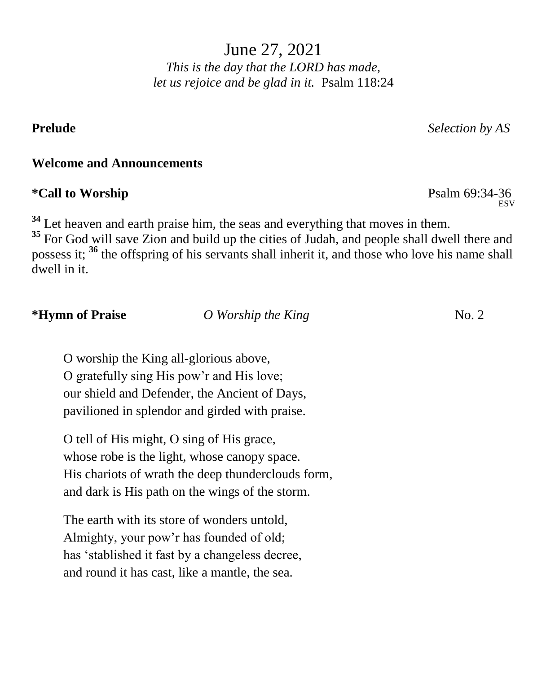June 27, 2021 *This is the day that the LORD has made, let us rejoice and be glad in it.* Psalm 118:24

#### **Welcome and Announcements**

### **\*Call to Worship** Psalm 69:34-36

<sup>34</sup> Let heaven and earth praise him, the seas and everything that moves in them.

<sup>35</sup> For God will save Zion and build up the cities of Judah, and people shall dwell there and possess it; **<sup>36</sup>** the offspring of his servants shall inherit it, and those who love his name shall dwell in it.

**\*Hymn of Praise** *O Worship the King* **No. 2** 

O worship the King all-glorious above, O gratefully sing His pow'r and His love; our shield and Defender, the Ancient of Days, pavilioned in splendor and girded with praise.

O tell of His might, O sing of His grace, whose robe is the light, whose canopy space. His chariots of wrath the deep thunderclouds form, and dark is His path on the wings of the storm.

The earth with its store of wonders untold, Almighty, your pow'r has founded of old; has 'stablished it fast by a changeless decree, and round it has cast, like a mantle, the sea.

**ESV** 

**Prelude** *Selection by AS*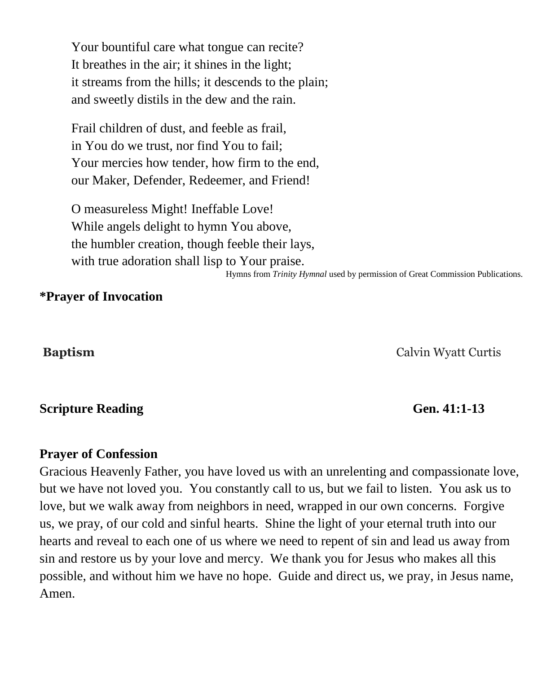Your bountiful care what tongue can recite? It breathes in the air; it shines in the light; it streams from the hills; it descends to the plain; and sweetly distils in the dew and the rain.

Frail children of dust, and feeble as frail, in You do we trust, nor find You to fail; Your mercies how tender, how firm to the end, our Maker, Defender, Redeemer, and Friend!

O measureless Might! Ineffable Love! While angels delight to hymn You above, the humbler creation, though feeble their lays, with true adoration shall lisp to Your praise. Hymns from *Trinity Hymnal* used by permission of Great Commission Publications. 

#### **\*Prayer of Invocation**

**Baptism** Calvin Wyatt Curtis

#### **Scripture Reading Gen.** 41:1-13

#### **Prayer of Confession**

Gracious Heavenly Father, you have loved us with an unrelenting and compassionate love, but we have not loved you. You constantly call to us, but we fail to listen. You ask us to love, but we walk away from neighbors in need, wrapped in our own concerns. Forgive us, we pray, of our cold and sinful hearts. Shine the light of your eternal truth into our hearts and reveal to each one of us where we need to repent of sin and lead us away from sin and restore us by your love and mercy. We thank you for Jesus who makes all this possible, and without him we have no hope. Guide and direct us, we pray, in Jesus name, Amen.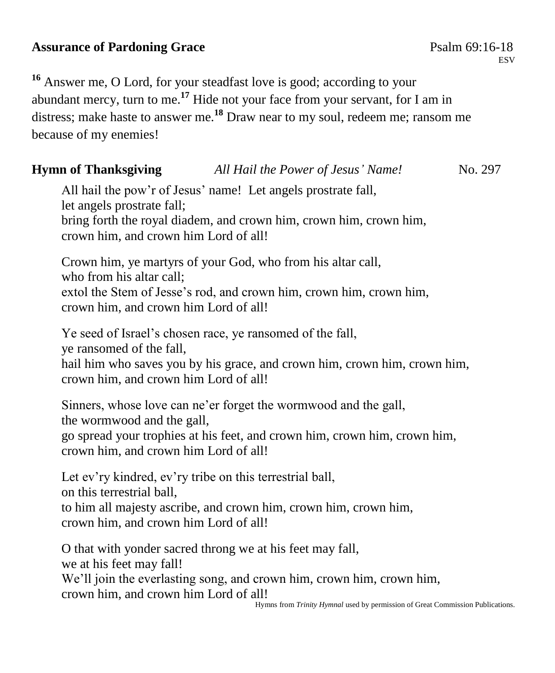# **Assurance of Pardoning Grace**  Psalm 69:16-18

**ESV** 

**<sup>16</sup>** Answer me, O Lord, for your steadfast love is good; according to your abundant mercy, turn to me.**<sup>17</sup>** Hide not your face from your servant, for I am in distress; make haste to answer me.**<sup>18</sup>** Draw near to my soul, redeem me; ransom me because of my enemies!

# **Hymn of Thanksgiving** *All Hail the Power of Jesus' Name!* No. 297

All hail the pow'r of Jesus' name! Let angels prostrate fall, let angels prostrate fall; bring forth the royal diadem, and crown him, crown him, crown him, crown him, and crown him Lord of all!

Crown him, ye martyrs of your God, who from his altar call, who from his altar call; extol the Stem of Jesse's rod, and crown him, crown him, crown him, crown him, and crown him Lord of all!

Ye seed of Israel's chosen race, ye ransomed of the fall,

ye ransomed of the fall,

hail him who saves you by his grace, and crown him, crown him, crown him, crown him, and crown him Lord of all!

Sinners, whose love can ne'er forget the wormwood and the gall, the wormwood and the gall,

go spread your trophies at his feet, and crown him, crown him, crown him, crown him, and crown him Lord of all!

Let ev'ry kindred, ev'ry tribe on this terrestrial ball,

on this terrestrial ball,

to him all majesty ascribe, and crown him, crown him, crown him, crown him, and crown him Lord of all!

O that with yonder sacred throng we at his feet may fall, we at his feet may fall! We'll join the everlasting song, and crown him, crown him, crown him, crown him, and crown him Lord of all!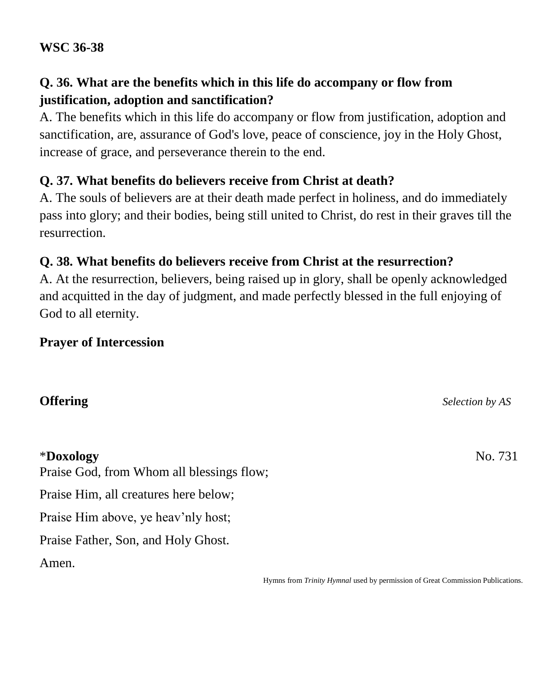#### **WSC 36-38**

# **Q. 36. What are the benefits which in this life do accompany or flow from justification, adoption and sanctification?**

A. The benefits which in this life do accompany or flow from justification, adoption and sanctification, are, assurance of God's love, peace of conscience, joy in the Holy Ghost, increase of grace, and perseverance therein to the end.

# **Q. 37. What benefits do believers receive from Christ at death?**

A. The souls of believers are at their death made perfect in holiness, and do immediately pass into glory; and their bodies, being still united to Christ, do rest in their graves till the resurrection.

# **Q. 38. What benefits do believers receive from Christ at the resurrection?**

A. At the resurrection, believers, being raised up in glory, shall be openly acknowledged and acquitted in the day of judgment, and made perfectly blessed in the full enjoying of God to all eternity.

### **Prayer of Intercession**

### **Offering** *Selection by AS*

#### \***Doxology** No. 731

Praise God, from Whom all blessings flow;

Praise Him, all creatures here below;

Praise Him above, ye heav'nly host;

Praise Father, Son, and Holy Ghost.

Amen.

Hymns from *Trinity Hymnal* used by permission of Great Commission Publications.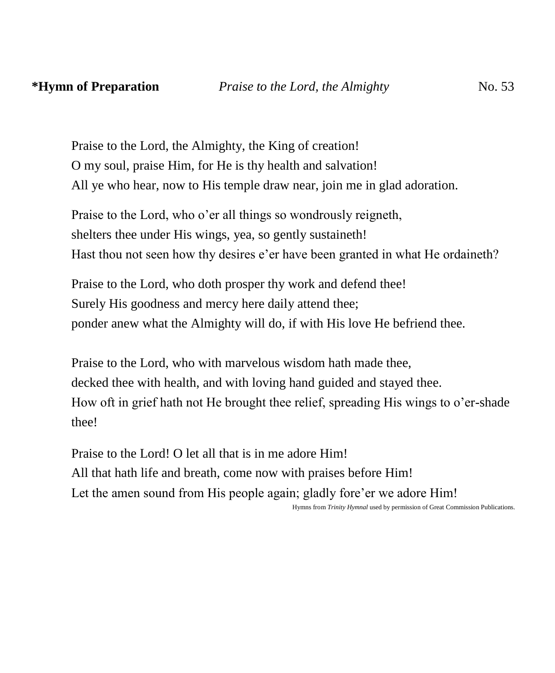Praise to the Lord, the Almighty, the King of creation! O my soul, praise Him, for He is thy health and salvation! All ye who hear, now to His temple draw near, join me in glad adoration.

Praise to the Lord, who o'er all things so wondrously reigneth, shelters thee under His wings, yea, so gently sustaineth! Hast thou not seen how thy desires e'er have been granted in what He ordaineth?

Praise to the Lord, who doth prosper thy work and defend thee! Surely His goodness and mercy here daily attend thee; ponder anew what the Almighty will do, if with His love He befriend thee.

Praise to the Lord, who with marvelous wisdom hath made thee, decked thee with health, and with loving hand guided and stayed thee. How oft in grief hath not He brought thee relief, spreading His wings to o'er-shade thee!

Praise to the Lord! O let all that is in me adore Him! All that hath life and breath, come now with praises before Him! Let the amen sound from His people again; gladly fore'er we adore Him!

Hymns from *Trinity Hymnal* used by permission of Great Commission Publications.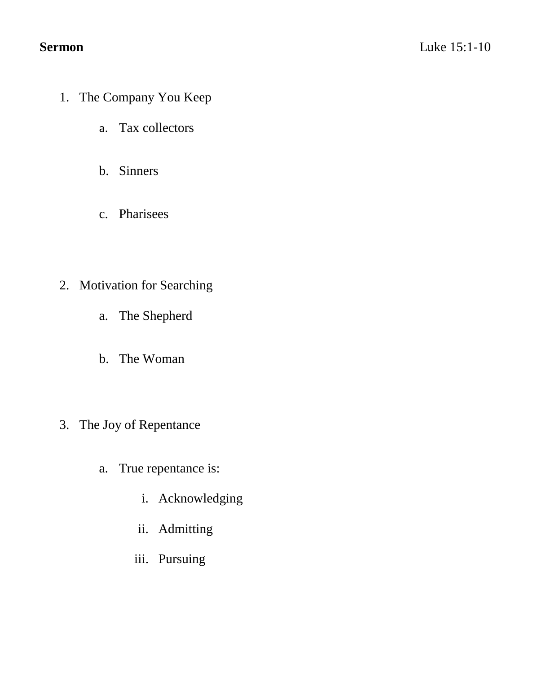- 1. The Company You Keep
	- a. Tax collectors
	- b. Sinners
	- c. Pharisees
- 2. Motivation for Searching
	- a. The Shepherd
	- b. The Woman
- 3. The Joy of Repentance
	- a. True repentance is:
		- i. Acknowledging
		- ii. Admitting
		- iii. Pursuing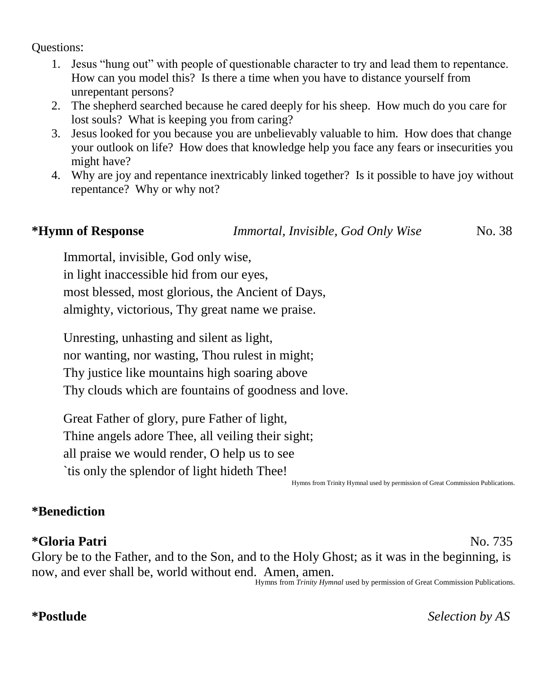Questions:

- 1. Jesus "hung out" with people of questionable character to try and lead them to repentance. How can you model this? Is there a time when you have to distance yourself from unrepentant persons?
- 2. The shepherd searched because he cared deeply for his sheep. How much do you care for lost souls? What is keeping you from caring?
- 3. Jesus looked for you because you are unbelievably valuable to him. How does that change your outlook on life? How does that knowledge help you face any fears or insecurities you might have?
- 4. Why are joy and repentance inextricably linked together? Is it possible to have joy without repentance? Why or why not?

**\*Hymn of Response** *Immortal, Invisible, God Only Wise* No. 38

Immortal, invisible, God only wise, in light inaccessible hid from our eyes, most blessed, most glorious, the Ancient of Days, almighty, victorious, Thy great name we praise.

Unresting, unhasting and silent as light, nor wanting, nor wasting, Thou rulest in might; Thy justice like mountains high soaring above Thy clouds which are fountains of goodness and love.

Great Father of glory, pure Father of light, Thine angels adore Thee, all veiling their sight; all praise we would render, O help us to see `tis only the splendor of light hideth Thee!

Hymns from Trinity Hymnal used by permission of Great Commission Publications.

# **\*Benediction**

# **\*Gloria Patri** No. 735

Glory be to the Father, and to the Son, and to the Holy Ghost; as it was in the beginning, is now, and ever shall be, world without end. Amen, amen. Hymns from *Trinity Hymnal* used by permission of Great Commission Publications.

**\*Postlude** *Selection by AS*